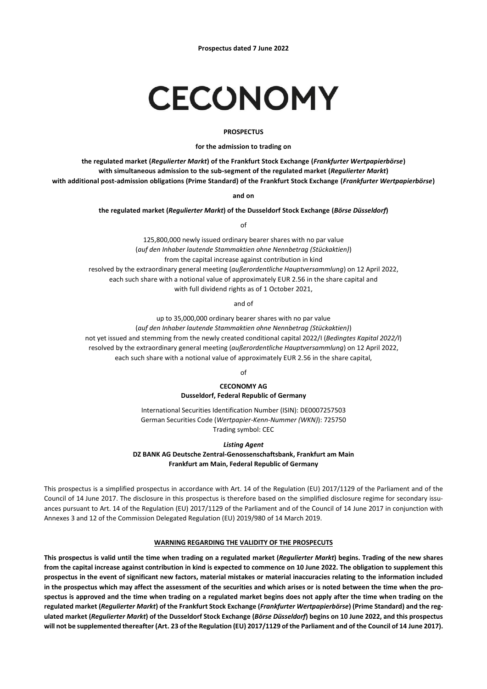# CECONOMY

## **PROSPECTUS**

#### **for the admission to trading on**

**the regulated market (***Regulierter Markt***) of the Frankfurt Stock Exchange (***Frankfurter Wertpapierbörse***) with simultaneous admission to the sub-segment of the regulated market (***Regulierter Markt***) with additional post-admission obligations (Prime Standard) of the Frankfurt Stock Exchange (***Frankfurter Wertpapierbörse***)**

**and on**

#### **the regulated market (***Regulierter Markt***) of the Dusseldorf Stock Exchange (***Börse Düsseldorf***)**

of

125,800,000 newly issued ordinary bearer shares with no par value (*auf den Inhaber lautende Stammaktien ohne Nennbetrag (Stückaktien)*) from the capital increase against contribution in kind resolved by the extraordinary general meeting (*außerordentliche Hauptversammlung*) on 12 April 2022, each such share with a notional value of approximately EUR 2.56 in the share capital and with full dividend rights as of 1 October 2021,

and of

up to 35,000,000 ordinary bearer shares with no par value (*auf den Inhaber lautende Stammaktien ohne Nennbetrag (Stückaktien)*) not yet issued and stemming from the newly created conditional capital 2022/I (*Bedingtes Kapital 2022/I*) resolved by the extraordinary general meeting (*außerordentliche Hauptversammlung*) on 12 April 2022, each such share with a notional value of approximately EUR 2.56 in the share capital,

of

# **CECONOMY AG Dusseldorf, Federal Republic of Germany**

International Securities Identification Number (ISIN): DE0007257503 German Securities Code (*Wertpapier-Kenn-Nummer (WKN)*): 725750 Trading symbol: CEC

*Listing Agent*

**DZ BANK AG Deutsche Zentral-Genossenschaftsbank, Frankfurt am Main Frankfurt am Main, Federal Republic of Germany**

This prospectus is a simplified prospectus in accordance with Art. 14 of the Regulation (EU) 2017/1129 of the Parliament and of the Council of 14 June 2017. The disclosure in this prospectus is therefore based on the simplified disclosure regime for secondary issuances pursuant to Art. 14 of the Regulation (EU) 2017/1129 of the Parliament and of the Council of 14 June 2017 in conjunction with Annexes 3 and 12 of the Commission Delegated Regulation (EU) 2019/980 of 14 March 2019.

# **WARNING REGARDING THE VALIDITY OF THE PROSPECUTS**

**This prospectus is valid until the time when trading on a regulated market (***Regulierter Markt***) begins. Trading of the new shares from the capital increase against contribution in kind is expected to commence on 10 June 2022. The obligation to supplement this prospectus in the event of significant new factors, material mistakes or material inaccuracies relating to the information included in the prospectus which may affect the assessment of the securities and which arises or is noted between the time when the prospectus is approved and the time when trading on a regulated market begins does not apply after the time when trading on the regulated market (***Regulierter Markt***) of the Frankfurt Stock Exchange (***Frankfurter Wertpapierbörse***) (Prime Standard) and the regulated market (***Regulierter Markt***) of the Dusseldorf Stock Exchange (***Börse Düsseldorf***) begins on 10 June 2022, and this prospectus will not be supplemented thereafter (Art. 23 of the Regulation (EU) 2017/1129 of the Parliament and of the Council of 14 June 2017).**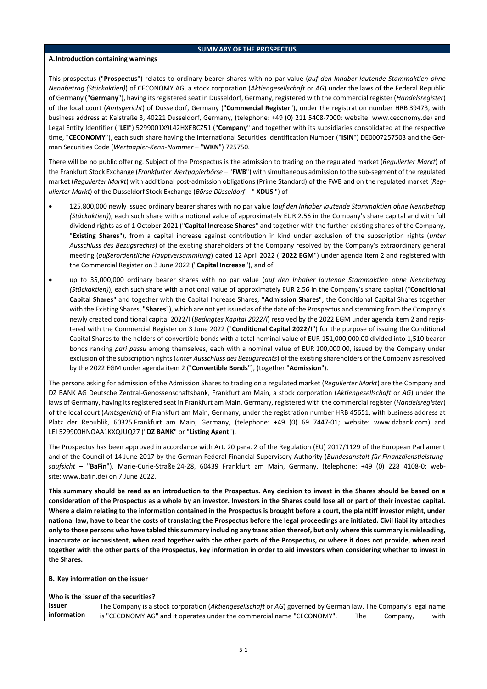## **SUMMARY OF THE PROSPECTUS**

## **A.Introduction containing warnings**

This prospectus ("**Prospectus**") relates to ordinary bearer shares with no par value (*auf den Inhaber lautende Stammaktien ohne Nennbetrag (Stückaktien)*) of CECONOMY AG, a stock corporation (*Aktiengesellschaft* or *AG*) under the laws of the Federal Republic of Germany ("**Germany**"), having its registered seat in Dusseldorf, Germany, registered with the commercial register (*Handelsregister*) of the local court (*Amtsgericht*) of Dusseldorf, Germany ("**Commercial Register**"), under the registration number HRB 39473, with business address at Kaistraße 3, 40221 Dusseldorf, Germany, (telephone: +49 (0) 211 5408-7000; website: www.ceconomy.de) and Legal Entity Identifier ("**LEI**") 5299001X9L42HXEBCZ51 ("**Company**" and together with its subsidiaries consolidated at the respective time, "**CECONOMY**"), each such share having the International Securities Identification Number ("**ISIN**") DE0007257503 and the German Securities Code (*Wertpapier-Kenn-Nummer –* "**WKN**") 725750.

There will be no public offering. Subject of the Prospectus is the admission to trading on the regulated market (*Regulierter Markt*) of the Frankfurt Stock Exchange (*Frankfurter Wertpapierbörse* – "**FWB**") with simultaneous admission to the sub-segment of the regulated market (*Regulierter Markt*) with additional post-admission obligations (Prime Standard) of the FWB and on the regulated market (*Regulierter Markt*) of the Dusseldorf Stock Exchange (*Börse Düsseldorf* – " **XDUS** ") of

- 125,800,000 newly issued ordinary bearer shares with no par value (*auf den Inhaber lautende Stammaktien ohne Nennbetrag (Stückaktien)*), each such share with a notional value of approximately EUR 2.56 in the Company's share capital and with full dividend rights as of 1 October 2021 ("**Capital Increase Shares**" and together with the further existing shares of the Company, "**Existing Shares**"), from a capital increase against contribution in kind under exclusion of the subscription rights (*unter Ausschluss des Bezugsrechts*) of the existing shareholders of the Company resolved by the Company's extraordinary general meeting (*außerordentliche Hauptversammlung*) dated 12 April 2022 ("**2022 EGM**") under agenda item 2 and registered with the Commercial Register on 3 June 2022 ("**Capital Increase**"), and of
- up to 35,000,000 ordinary bearer shares with no par value (*auf den Inhaber lautende Stammaktien ohne Nennbetrag (Stückaktien)*), each such share with a notional value of approximately EUR 2.56 in the Company's share capital ("**Conditional Capital Shares**" and together with the Capital Increase Shares, "**Admission Shares**"; the Conditional Capital Shares together with the Existing Shares, "**Shares**"), which are not yet issued as of the date of the Prospectus and stemming from the Company's newly created conditional capital 2022/I (*Bedingtes Kapital 2022/I*) resolved by the 2022 EGM under agenda item 2 and registered with the Commercial Register on 3 June 2022 ("**Conditional Capital 2022/I**") for the purpose of issuing the Conditional Capital Shares to the holders of convertible bonds with a total nominal value of EUR 151,000,000.00 divided into 1,510 bearer bonds ranking *pari passu* among themselves, each with a nominal value of EUR 100,000.00, issued by the Company under exclusion of the subscription rights (*unter Ausschluss des Bezugsrechts*) of the existing shareholders of the Company as resolved by the 2022 EGM under agenda item 2 ("**Convertible Bonds**"), (together "**Admission**").

The persons asking for admission of the Admission Shares to trading on a regulated market (*Regulierter Markt*) are the Company and DZ BANK AG Deutsche Zentral-Genossenschaftsbank, Frankfurt am Main, a stock corporation (*Aktiengesellschaft* or *AG*) under the laws of Germany, having its registered seat in Frankfurt am Main, Germany, registered with the commercial register (*Handelsregister*) of the local court (*Amtsgericht*) of Frankfurt am Main, Germany, under the registration number HRB 45651, with business address at Platz der Republik, 60325 Frankfurt am Main, Germany, (telephone: +49 (0) 69 7447-01; website: www.dzbank.com) and LEI 529900HNOAA1KXQJUQ27 ("**DZ BANK**" or "**Listing Agent**").

The Prospectus has been approved in accordance with Art. 20 para. 2 of the Regulation (EU) 2017/1129 of the European Parliament and of the Council of 14 June 2017 by the German Federal Financial Supervisory Authority (*Bundesanstalt für Finanzdienstleistungsaufsicht –* "**BaFin**"), Marie-Curie-Straße 24-28, 60439 Frankfurt am Main, Germany, (telephone: +49 (0) 228 4108-0; website: www.bafin.de) on 7 June 2022.

**This summary should be read as an introduction to the Prospectus. Any decision to invest in the Shares should be based on a consideration of the Prospectus as a whole by an investor. Investors in the Shares could lose all or part of their invested capital. Where a claim relating to the information contained in the Prospectus is brought before a court, the plaintiff investor might, under national law, have to bear the costs of translating the Prospectus before the legal proceedings are initiated. Civil liability attaches only to those persons who have tabled this summary including any translation thereof, but only where this summary is misleading, inaccurate or inconsistent, when read together with the other parts of the Prospectus, or where it does not provide, when read together with the other parts of the Prospectus, key information in order to aid investors when considering whether to invest in the Shares.**

# **B. Key information on the issuer**

# **Who is the issuer of the securities?**

**Issuer information** The Company is a stock corporation (*Aktiengesellschaft* or *AG*) governed by German law. The Company's legal name is "CECONOMY AG" and it operates under the commercial name "CECONOMY". The Company, with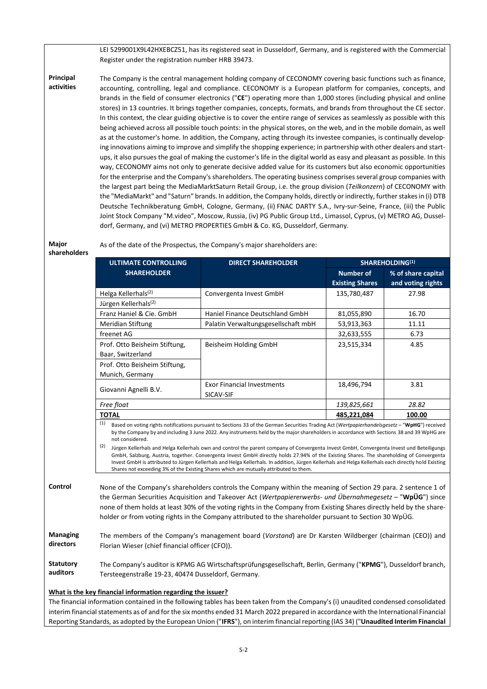LEI 5299001X9L42HXEBCZ51, has its registered seat in Dusseldorf, Germany, and is registered with the Commercial Register under the registration number HRB 39473.

**Principal activities** The Company is the central management holding company of CECONOMY covering basic functions such as finance, accounting, controlling, legal and compliance. CECONOMY is a European platform for companies, concepts, and brands in the field of consumer electronics ("**CE**") operating more than 1,000 stores (including physical and online stores) in 13 countries. It brings together companies, concepts, formats, and brands from throughout the CE sector. In this context, the clear guiding objective is to cover the entire range of services as seamlessly as possible with this being achieved across all possible touch points: in the physical stores, on the web, and in the mobile domain, as well as at the customer's home. In addition, the Company, acting through its investee companies, is continually developing innovations aiming to improve and simplify the shopping experience; in partnership with other dealers and startups, it also pursues the goal of making the customer's life in the digital world as easy and pleasant as possible. In this way, CECONOMY aims not only to generate decisive added value for its customers but also economic opportunities for the enterprise and the Company's shareholders. The operating business comprises several group companies with the largest part being the MediaMarktSaturn Retail Group, i.e. the group division (*Teilkonzern*) of CECONOMY with the "MediaMarkt" and "Saturn" brands. In addition, the Company holds, directly orindirectly, further stakesin (i) DTB Deutsche Technikberatung GmbH, Cologne, Germany, (ii) FNAC DARTY S.A., Ivry-sur-Seine, France, (iii) the Public Joint Stock Company "M.video", Moscow, Russia, (iv) PG Public Group Ltd., Limassol, Cyprus, (v) METRO AG, Dusseldorf, Germany, and (vi) METRO PROPERTIES GmbH & Co. KG, Dusseldorf, Germany.

**Major**

As of the date of the Prospectus, the Company's major shareholders are:

| shareholders |  |  |
|--------------|--|--|

**ULTIMATE CONTROLLING SHAREHOLDER DIRECT SHAREHOLDER SHAREHOLDING(1) Number of Existing Shares % of share capital and voting rights** Helga Kellerhals<sup>(2)</sup> Convergenta Invest GmbH 135,780,487 27.98 Jürgen Kellerhals(2) Franz Haniel & Cie. GmbH Haniel Finance Deutschland GmbH 81,055,890 | 16.70 Meridian Stiftung **Palatin Verwaltungsgesellschaft mbH** 53,913,363 11.11 freenet AG 32,633,555 6.73 Prof. Otto Beisheim Stiftung, Baar, Switzerland Beisheim Holding GmbH 123,515,334 4.85 Prof. Otto Beisheim Stiftung, Munich, Germany Giovanni Agnelli B.V. Exor Financial Investments SICAV-SIF 18,496,794 3.81 *Free float 139,825,661 28.82* **TOTAL 485,221,084 100.00**

(1) Based on voting rights notifications pursuant to Sections 33 of the German Securities Trading Act (*Wertpapierhandelsgesetz* – "**WpHG**") received by the Company by and including 3 June 2022. Any instruments held by the major shareholders in accordance with Sections 38 and 39 WpHG are not considered.

(2) Jürgen Kellerhals and Helga Kellerhals own and control the parent company of Convergenta Invest GmbH, Convergenta Invest und Beteiligungs GmbH, Salzburg, Austria, together. Convergenta Invest GmbH directly holds 27.94% of the Existing Shares. The shareholding of Convergenta Invest GmbH is attributed to Jürgen Kellerhals and Helga Kellerhals. In addition, Jürgen Kellerhals and Helga Kellerhals each directly hold Existing Shares not exceeding 3% of the Existing Shares which are mutually attributed to them.

**Control** None of the Company's shareholders controls the Company within the meaning of Section 29 para. 2 sentence 1 of the German Securities Acquisition and Takeover Act (*Wertpapiererwerbs- und Übernahmegesetz* – "**WpÜG**") since none of them holds at least 30% of the voting rights in the Company from Existing Shares directly held by the shareholder or from voting rights in the Company attributed to the shareholder pursuant to Section 30 WpÜG.

**Managing directors** The members of the Company's management board (*Vorstand*) are Dr Karsten Wildberger (chairman (CEO)) and Florian Wieser (chief financial officer (CFO)).

**Statutory auditors** The Company's auditor is KPMG AG Wirtschaftsprüfungsgesellschaft, Berlin, Germany ("**KPMG**"), Dusseldorf branch, Tersteegenstraße 19-23, 40474 Dusseldorf, Germany.

# **What is the key financial information regarding the issuer?**

The financial information contained in the following tables has been taken from the Company's (i) unaudited condensed consolidated interim financial statements as of and for the six months ended 31 March 2022 prepared in accordance with the International Financial Reporting Standards, as adopted by the European Union ("**IFRS**"), on interim financial reporting (IAS 34) ("**Unaudited Interim Financial**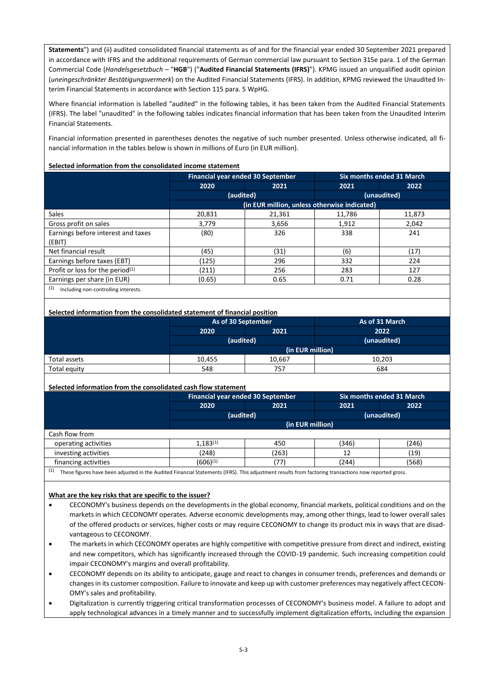**Statements**") and (ii) audited consolidated financial statements as of and for the financial year ended 30 September 2021 prepared in accordance with IFRS and the additional requirements of German commercial law pursuant to Section 315e para. 1 of the German Commercial Code (*Handelsgesetzbuch –* "**HGB**") ("**Audited Financial Statements (IFRS)**"). KPMG issued an unqualified audit opinion (*uneingeschränkter Bestätigungsvermerk*) on the Audited Financial Statements (IFRS). In addition, KPMG reviewed the Unaudited Interim Financial Statements in accordance with Section 115 para. 5 WpHG.

Where financial information is labelled "audited" in the following tables, it has been taken from the Audited Financial Statements (IFRS). The label "unaudited" in the following tables indicates financial information that has been taken from the Unaudited Interim Financial Statements.

Financial information presented in parentheses denotes the negative of such number presented. Unless otherwise indicated, all financial information in the tables below is shown in millions of Euro (in EUR million).

## **Selected information from the consolidated income statement**

|                                             | Financial year ended 30 September |                                              |        | Six months ended 31 March |
|---------------------------------------------|-----------------------------------|----------------------------------------------|--------|---------------------------|
|                                             | 2020                              | 2021                                         | 2021   | 2022                      |
|                                             | (audited)                         |                                              |        | (unaudited)               |
|                                             |                                   | (in EUR million, unless otherwise indicated) |        |                           |
| Sales                                       | 20,831                            | 21,361                                       | 11,786 | 11,873                    |
| Gross profit on sales                       | 3,779                             | 3,656                                        | 1,912  | 2.042                     |
| Earnings before interest and taxes          | (80)                              | 326                                          | 338    | 241                       |
| (EBIT)                                      |                                   |                                              |        |                           |
| Net financial result                        | (45)                              | (31)                                         | (6)    | (17)                      |
| Earnings before taxes (EBT)                 | (125)                             | 296                                          | 332    | 224                       |
| Profit or loss for the period $(1)$         | (211)                             | 256                                          | 283    | 127                       |
| Earnings per share (in EUR)                 | (0.65)                            | 0.65                                         | 0.71   | 0.28                      |
| (1)<br>Including non-controlling interests. |                                   |                                              |        |                           |

## **Selected information from the consolidated statement of financial position**

|              | As of 30 September |        | As of 31 March |  |
|--------------|--------------------|--------|----------------|--|
|              | 2021<br>2020       |        | 2022           |  |
|              | (audited)          |        | (unaudited)    |  |
|              | (in EUR million)   |        |                |  |
| Total assets | 10.455             | 10.667 | 10.203         |  |
| Total equity | 548                | 757    | 684            |  |

#### **Selected information from the consolidated cash flow statement**

|                                                                                                                                                             |                      | <b>Financial year ended 30 September</b> |       | Six months ended 31 March |
|-------------------------------------------------------------------------------------------------------------------------------------------------------------|----------------------|------------------------------------------|-------|---------------------------|
|                                                                                                                                                             | 2020                 | 2021                                     | 2021  | 2022                      |
|                                                                                                                                                             | (audited)            |                                          |       | (unaudited)               |
|                                                                                                                                                             |                      | (in EUR million)                         |       |                           |
| Cash flow from                                                                                                                                              |                      |                                          |       |                           |
| operating activities                                                                                                                                        | $1.183^{(1)}$        | 450                                      | (346) | (246)                     |
| investing activities                                                                                                                                        | (248)                | (263)                                    | 12    | (19)                      |
| financing activities                                                                                                                                        | (606) <sup>(1)</sup> | 77)                                      | (244) | (568)                     |
| (1)<br>These figures have been adjusted in the Audited Financial Statements (IFRS). This adjustment results from factoring transactions now reported gross. |                      |                                          |       |                           |

## **What are the key risks that are specific to the issuer?**

- CECONOMY's business depends on the developments in the global economy, financial markets, political conditions and on the markets in which CECONOMY operates. Adverse economic developments may, among other things, lead to lower overall sales of the offered products or services, higher costs or may require CECONOMY to change its product mix in ways that are disadvantageous to CECONOMY.
- The markets in which CECONOMY operates are highly competitive with competitive pressure from direct and indirect, existing and new competitors, which has significantly increased through the COVID-19 pandemic. Such increasing competition could impair CECONOMY's margins and overall profitability.
- CECONOMY depends on its ability to anticipate, gauge and react to changes in consumer trends, preferences and demands or changes in its customer composition. Failure to innovate and keep up with customer preferences may negatively affect CECON-OMY's sales and profitability.
- Digitalization is currently triggering critical transformation processes of CECONOMY's business model. A failure to adopt and apply technological advances in a timely manner and to successfully implement digitalization efforts, including the expansion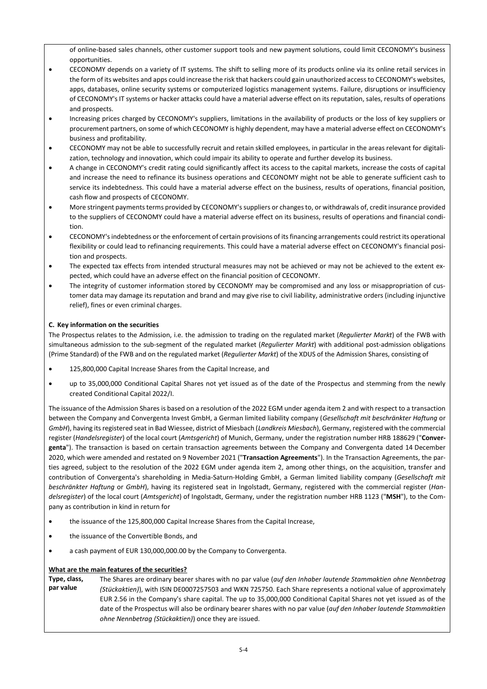of online-based sales channels, other customer support tools and new payment solutions, could limit CECONOMY's business opportunities.

- CECONOMY depends on a variety of IT systems. The shift to selling more of its products online via its online retail services in the form of its websites and apps could increase the risk that hackers could gain unauthorized access to CECONOMY's websites, apps, databases, online security systems or computerized logistics management systems. Failure, disruptions or insufficiency of CECONOMY's IT systems or hacker attacks could have a material adverse effect on its reputation, sales, results of operations and prospects.
- Increasing prices charged by CECONOMY's suppliers, limitations in the availability of products or the loss of key suppliers or procurement partners, on some of which CECONOMY is highly dependent, may have a material adverse effect on CECONOMY's business and profitability.
- CECONOMY may not be able to successfully recruit and retain skilled employees, in particular in the areas relevant for digitalization, technology and innovation, which could impair its ability to operate and further develop its business.
- A change in CECONOMY's credit rating could significantly affect its access to the capital markets, increase the costs of capital and increase the need to refinance its business operations and CECONOMY might not be able to generate sufficient cash to service its indebtedness. This could have a material adverse effect on the business, results of operations, financial position, cash flow and prospects of CECONOMY.
- More stringent payments terms provided by CECONOMY's suppliers or changes to, or withdrawals of, credit insurance provided to the suppliers of CECONOMY could have a material adverse effect on its business, results of operations and financial condition.
- CECONOMY's indebtedness or the enforcement of certain provisions of its financing arrangements could restrict its operational flexibility or could lead to refinancing requirements. This could have a material adverse effect on CECONOMY's financial position and prospects.
- The expected tax effects from intended structural measures may not be achieved or may not be achieved to the extent expected, which could have an adverse effect on the financial position of CECONOMY.
- The integrity of customer information stored by CECONOMY may be compromised and any loss or misappropriation of customer data may damage its reputation and brand and may give rise to civil liability, administrative orders (including injunctive relief), fines or even criminal charges.

# **C. Key information on the securities**

The Prospectus relates to the Admission, i.e. the admission to trading on the regulated market (*Regulierter Markt*) of the FWB with simultaneous admission to the sub-segment of the regulated market (*Regulierter Markt*) with additional post-admission obligations (Prime Standard) of the FWB and on the regulated market (*Regulierter Markt*) of the XDUS of the Admission Shares, consisting of

- 125,800,000 Capital Increase Shares from the Capital Increase, and
- up to 35,000,000 Conditional Capital Shares not yet issued as of the date of the Prospectus and stemming from the newly created Conditional Capital 2022/I.

The issuance of the Admission Shares is based on a resolution of the 2022 EGM under agenda item 2 and with respect to a transaction between the Company and Convergenta Invest GmbH, a German limited liability company (*Gesellschaft mit beschränkter Haftung* or *GmbH*), having its registered seat in Bad Wiessee, district of Miesbach (*Landkreis Miesbach*), Germany, registered with the commercial register (*Handelsregister*) of the local court (*Amtsgericht*) of Munich, Germany, under the registration number HRB 188629 ("**Convergenta**"). The transaction is based on certain transaction agreements between the Company and Convergenta dated 14 December 2020, which were amended and restated on 9 November 2021 ("**Transaction Agreements**"). In the Transaction Agreements, the parties agreed, subject to the resolution of the 2022 EGM under agenda item 2, among other things, on the acquisition, transfer and contribution of Convergenta's shareholding in Media-Saturn-Holding GmbH, a German limited liability company (*Gesellschaft mit beschränkter Haftung* or *GmbH*), having its registered seat in Ingolstadt, Germany, registered with the commercial register (*Handelsregister*) of the local court (*Amtsgericht*) of Ingolstadt, Germany, under the registration number HRB 1123 ("**MSH**"), to the Company as contribution in kind in return for

- the issuance of the 125,800,000 Capital Increase Shares from the Capital Increase,
- the issuance of the Convertible Bonds, and
- a cash payment of EUR 130,000,000.00 by the Company to Convergenta.

# **What are the main features of the securities?**

**Type, class, par value** The Shares are ordinary bearer shares with no par value (*auf den Inhaber lautende Stammaktien ohne Nennbetrag (Stückaktien)*), with ISIN DE0007257503 and WKN 725750. Each Share represents a notional value of approximately EUR 2.56 in the Company's share capital. The up to 35,000,000 Conditional Capital Shares not yet issued as of the date of the Prospectus will also be ordinary bearer shares with no par value (*auf den Inhaber lautende Stammaktien ohne Nennbetrag (Stückaktien)*) once they are issued.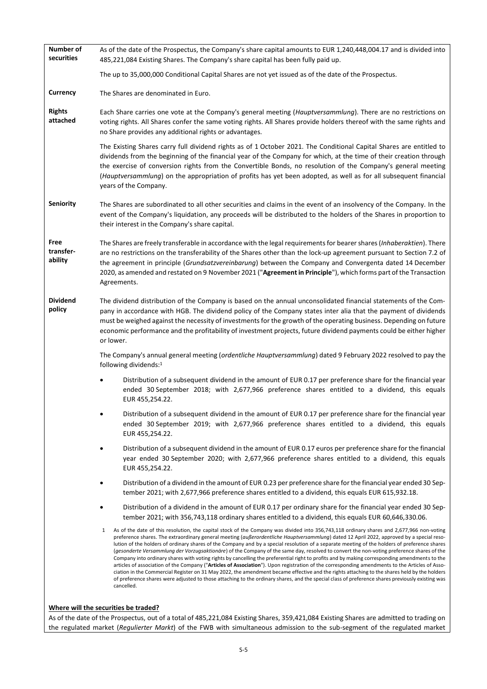| Number of<br>securities      | As of the date of the Prospectus, the Company's share capital amounts to EUR 1,240,448,004.17 and is divided into<br>485,221,084 Existing Shares. The Company's share capital has been fully paid up.                                                                                                                                                                                                                                                                                                                                                                                                                                                                                                                                                                                                                                                                                                                                                                                                                                                                                                                                                                                                          |
|------------------------------|----------------------------------------------------------------------------------------------------------------------------------------------------------------------------------------------------------------------------------------------------------------------------------------------------------------------------------------------------------------------------------------------------------------------------------------------------------------------------------------------------------------------------------------------------------------------------------------------------------------------------------------------------------------------------------------------------------------------------------------------------------------------------------------------------------------------------------------------------------------------------------------------------------------------------------------------------------------------------------------------------------------------------------------------------------------------------------------------------------------------------------------------------------------------------------------------------------------|
|                              | The up to 35,000,000 Conditional Capital Shares are not yet issued as of the date of the Prospectus.                                                                                                                                                                                                                                                                                                                                                                                                                                                                                                                                                                                                                                                                                                                                                                                                                                                                                                                                                                                                                                                                                                           |
| Currency                     | The Shares are denominated in Euro.                                                                                                                                                                                                                                                                                                                                                                                                                                                                                                                                                                                                                                                                                                                                                                                                                                                                                                                                                                                                                                                                                                                                                                            |
| <b>Rights</b><br>attached    | Each Share carries one vote at the Company's general meeting (Hauptversammlung). There are no restrictions on<br>voting rights. All Shares confer the same voting rights. All Shares provide holders thereof with the same rights and<br>no Share provides any additional rights or advantages.                                                                                                                                                                                                                                                                                                                                                                                                                                                                                                                                                                                                                                                                                                                                                                                                                                                                                                                |
|                              | The Existing Shares carry full dividend rights as of 1 October 2021. The Conditional Capital Shares are entitled to<br>dividends from the beginning of the financial year of the Company for which, at the time of their creation through<br>the exercise of conversion rights from the Convertible Bonds, no resolution of the Company's general meeting<br>(Hauptversammlung) on the appropriation of profits has yet been adopted, as well as for all subsequent financial<br>years of the Company.                                                                                                                                                                                                                                                                                                                                                                                                                                                                                                                                                                                                                                                                                                         |
| <b>Seniority</b>             | The Shares are subordinated to all other securities and claims in the event of an insolvency of the Company. In the<br>event of the Company's liquidation, any proceeds will be distributed to the holders of the Shares in proportion to<br>their interest in the Company's share capital.                                                                                                                                                                                                                                                                                                                                                                                                                                                                                                                                                                                                                                                                                                                                                                                                                                                                                                                    |
| Free<br>transfer-<br>ability | The Shares are freely transferable in accordance with the legal requirements for bearer shares (Inhaberaktien). There<br>are no restrictions on the transferability of the Shares other than the lock-up agreement pursuant to Section 7.2 of<br>the agreement in principle (Grundsatzvereinbarung) between the Company and Convergenta dated 14 December<br>2020, as amended and restated on 9 November 2021 ("Agreement in Principle"), which forms part of the Transaction<br>Agreements.                                                                                                                                                                                                                                                                                                                                                                                                                                                                                                                                                                                                                                                                                                                   |
| <b>Dividend</b><br>policy    | The dividend distribution of the Company is based on the annual unconsolidated financial statements of the Com-<br>pany in accordance with HGB. The dividend policy of the Company states inter alia that the payment of dividends<br>must be weighed against the necessity of investments for the growth of the operating business. Depending on future<br>economic performance and the profitability of investment projects, future dividend payments could be either higher<br>or lower.                                                                                                                                                                                                                                                                                                                                                                                                                                                                                                                                                                                                                                                                                                                    |
|                              | The Company's annual general meeting (ordentliche Hauptversammlung) dated 9 February 2022 resolved to pay the<br>following dividends: <sup>1</sup>                                                                                                                                                                                                                                                                                                                                                                                                                                                                                                                                                                                                                                                                                                                                                                                                                                                                                                                                                                                                                                                             |
|                              | Distribution of a subsequent dividend in the amount of EUR 0.17 per preference share for the financial year<br>ended 30 September 2018; with 2,677,966 preference shares entitled to a dividend, this equals<br>EUR 455,254.22.                                                                                                                                                                                                                                                                                                                                                                                                                                                                                                                                                                                                                                                                                                                                                                                                                                                                                                                                                                                |
|                              | Distribution of a subsequent dividend in the amount of EUR 0.17 per preference share for the financial year<br>ended 30 September 2019; with 2,677,966 preference shares entitled to a dividend, this equals<br>EUR 455,254.22.                                                                                                                                                                                                                                                                                                                                                                                                                                                                                                                                                                                                                                                                                                                                                                                                                                                                                                                                                                                |
|                              | Distribution of a subsequent dividend in the amount of EUR 0.17 euros per preference share for the financial<br>year ended 30 September 2020; with 2,677,966 preference shares entitled to a dividend, this equals<br>EUR 455,254.22.                                                                                                                                                                                                                                                                                                                                                                                                                                                                                                                                                                                                                                                                                                                                                                                                                                                                                                                                                                          |
|                              | Distribution of a dividend in the amount of EUR 0.23 per preference share for the financial year ended 30 Sep-<br>tember 2021; with 2,677,966 preference shares entitled to a dividend, this equals EUR 615,932.18.                                                                                                                                                                                                                                                                                                                                                                                                                                                                                                                                                                                                                                                                                                                                                                                                                                                                                                                                                                                            |
|                              | Distribution of a dividend in the amount of EUR 0.17 per ordinary share for the financial year ended 30 Sep-<br>tember 2021; with 356,743,118 ordinary shares entitled to a dividend, this equals EUR 60,646,330.06.                                                                                                                                                                                                                                                                                                                                                                                                                                                                                                                                                                                                                                                                                                                                                                                                                                                                                                                                                                                           |
|                              | As of the date of this resolution, the capital stock of the Company was divided into 356,743,118 ordinary shares and 2,677,966 non-voting<br>1<br>preference shares. The extraordinary general meeting (außerordentliche Hauptversammlung) dated 12 April 2022, approved by a special reso-<br>lution of the holders of ordinary shares of the Company and by a special resolution of a separate meeting of the holders of preference shares<br>(gesonderte Versammlung der Vorzugsaktionäre) of the Company of the same day, resolved to convert the non-voting preference shares of the<br>Company into ordinary shares with voting rights by cancelling the preferential right to profits and by making corresponding amendments to the<br>articles of association of the Company ("Articles of Association"). Upon registration of the corresponding amendments to the Articles of Asso-<br>ciation in the Commercial Register on 31 May 2022, the amendment became effective and the rights attaching to the shares held by the holders<br>of preference shares were adjusted to those attaching to the ordinary shares, and the special class of preference shares previously existing was<br>cancelled. |
|                              | Where will the securities be traded?                                                                                                                                                                                                                                                                                                                                                                                                                                                                                                                                                                                                                                                                                                                                                                                                                                                                                                                                                                                                                                                                                                                                                                           |

As of the date of the Prospectus, out of a total of 485,221,084 Existing Shares, 359,421,084 Existing Shares are admitted to trading on the regulated market (*Regulierter Markt*) of the FWB with simultaneous admission to the sub-segment of the regulated market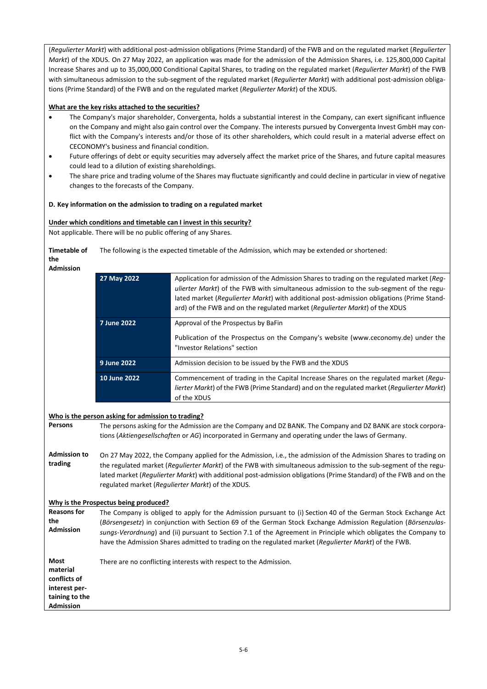(*Regulierter Markt*) with additional post-admission obligations (Prime Standard) of the FWB and on the regulated market (*Regulierter Markt*) of the XDUS. On 27 May 2022, an application was made for the admission of the Admission Shares, i.e. 125,800,000 Capital Increase Shares and up to 35,000,000 Conditional Capital Shares, to trading on the regulated market (*Regulierter Markt*) of the FWB with simultaneous admission to the sub-segment of the regulated market (*Regulierter Markt*) with additional post-admission obligations (Prime Standard) of the FWB and on the regulated market (*Regulierter Markt*) of the XDUS.

# **What are the key risks attached to the securities?**

- The Company's major shareholder, Convergenta, holds a substantial interest in the Company, can exert significant influence on the Company and might also gain control over the Company. The interests pursued by Convergenta Invest GmbH may conflict with the Company's interests and/or those of its other shareholders, which could result in a material adverse effect on CECONOMY's business and financial condition.
- Future offerings of debt or equity securities may adversely affect the market price of the Shares, and future capital measures could lead to a dilution of existing shareholdings.
- The share price and trading volume of the Shares may fluctuate significantly and could decline in particular in view of negative changes to the forecasts of the Company.

## **D. Key information on the admission to trading on a regulated market**

# **Under which conditions and timetable can I invest in this security?**

Not applicable. There will be no public offering of any Shares.

**Timetable of**  The following is the expected timetable of the Admission, which may be extended or shortened:

**the** Adm

| Admission    |                                                    |                                                                                                                                                                                                                                                                                                                                                                  |
|--------------|----------------------------------------------------|------------------------------------------------------------------------------------------------------------------------------------------------------------------------------------------------------------------------------------------------------------------------------------------------------------------------------------------------------------------|
|              | 27 May 2022                                        | Application for admission of the Admission Shares to trading on the regulated market (Req-<br>ulierter Markt) of the FWB with simultaneous admission to the sub-segment of the regu-<br>lated market (Regulierter Markt) with additional post-admission obligations (Prime Stand-<br>ard) of the FWB and on the regulated market (Requlierter Markt) of the XDUS |
|              | 7 June 2022                                        | Approval of the Prospectus by BaFin                                                                                                                                                                                                                                                                                                                              |
|              |                                                    | Publication of the Prospectus on the Company's website (www.ceconomy.de) under the<br>"Investor Relations" section                                                                                                                                                                                                                                               |
|              | 9 June 2022                                        | Admission decision to be issued by the FWB and the XDUS                                                                                                                                                                                                                                                                                                          |
|              | 10 June 2022                                       | Commencement of trading in the Capital Increase Shares on the regulated market (Requ-<br>lierter Markt) of the FWB (Prime Standard) and on the regulated market (Regulierter Markt)<br>of the XDUS                                                                                                                                                               |
|              |                                                    |                                                                                                                                                                                                                                                                                                                                                                  |
|              | Who is the person asking for admission to trading? |                                                                                                                                                                                                                                                                                                                                                                  |
| Persons      |                                                    | The persons asking for the Admission are the Company and DZ BANK. The Company and DZ BANK are stock corpora-                                                                                                                                                                                                                                                     |
|              |                                                    | tions (Aktiengesellschaften or AG) incorporated in Germany and operating under the laws of Germany.                                                                                                                                                                                                                                                              |
| Admission to |                                                    | On 27 May 2022, the Company applied for the Admission, i.e., the admission of the Admission Shares to trading on                                                                                                                                                                                                                                                 |

**Admission to trading** the regulated market (*Regulierter Markt*) of the FWB with simultaneous admission to the sub-segment of the regulated market (*Regulierter Markt*) with additional post-admission obligations (Prime Standard) of the FWB and on the regulated market (*Regulierter Markt*) of the XDUS.

# **Why is the Prospectus being produced?**

**Reasons for the Admission** The Company is obliged to apply for the Admission pursuant to (i) Section 40 of the German Stock Exchange Act (*Börsengesetz*) in conjunction with Section 69 of the German Stock Exchange Admission Regulation (*Börsenzulassungs-Verordnung*) and (ii) pursuant to Section 7.1 of the Agreement in Principle which obligates the Company to have the Admission Shares admitted to trading on the regulated market (*Regulierter Markt*) of the FWB.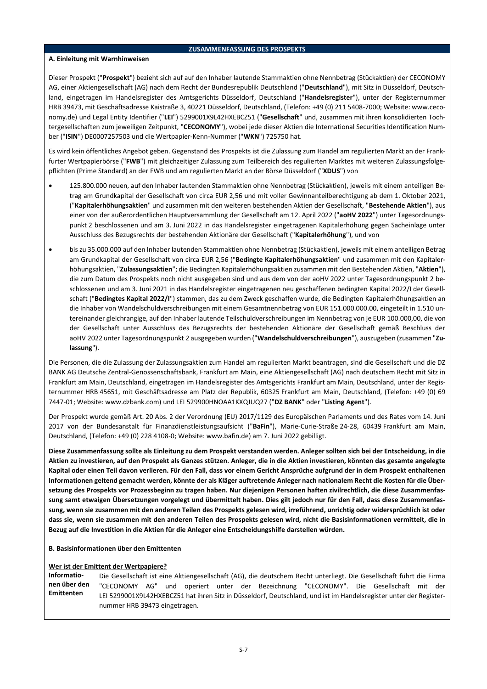# **ZUSAMMENFASSUNG DES PROSPEKTS**

# **A. Einleitung mit Warnhinweisen**

Dieser Prospekt ("**Prospekt**") bezieht sich auf auf den Inhaber lautende Stammaktien ohne Nennbetrag (Stückaktien) der CECONOMY AG, einer Aktiengesellschaft (AG) nach dem Recht der Bundesrepublik Deutschland ("**Deutschland**"), mit Sitz in Düsseldorf, Deutschland, eingetragen im Handelsregister des Amtsgerichts Düsseldorf, Deutschland ("**Handelsregister**"), unter der Registernummer HRB 39473, mit Geschäftsadresse Kaistraße 3, 40221 Düsseldorf, Deutschland, (Telefon: +49 (0) 211 5408-7000; Website: www.ceconomy.de) und Legal Entity Identifier ("**LEI**") 5299001X9L42HXEBCZ51 ("**Gesellschaft**" und, zusammen mit ihren konsolidierten Tochtergesellschaften zum jeweiligen Zeitpunkt, "**CECONOMY**"), wobei jede dieser Aktien die International Securities Identification Number ("**ISIN**") DE0007257503 und die Wertpapier-Kenn-Nummer ("**WKN**") 725750 hat.

Es wird kein öffentliches Angebot geben. Gegenstand des Prospekts ist die Zulassung zum Handel am regulierten Markt an der Frankfurter Wertpapierbörse ("**FWB**") mit gleichzeitiger Zulassung zum Teilbereich des regulierten Marktes mit weiteren Zulassungsfolgepflichten (Prime Standard) an der FWB und am regulierten Markt an der Börse Düsseldorf ("**XDUS**") von

- 125.800.000 neuen, auf den Inhaber lautenden Stammaktien ohne Nennbetrag (Stückaktien), jeweils mit einem anteiligen Betrag am Grundkapital der Gesellschaft von circa EUR 2,56 und mit voller Gewinnanteilberechtigung ab dem 1. Oktober 2021, ("**Kapitalerhöhungsaktien**" und zusammen mit den weiteren bestehenden Aktien der Gesellschaft, "**Bestehende Aktien**"), aus einer von der außerordentlichen Hauptversammlung der Gesellschaft am 12. April 2022 ("**aoHV 2022**") unter Tagesordnungspunkt 2 beschlossenen und am 3. Juni 2022 in das Handelsregister eingetragenen Kapitalerhöhung gegen Sacheinlage unter Ausschluss des Bezugsrechts der bestehenden Aktionäre der Gesellschaft ("**Kapitalerhöhung**"), und von
- bis zu 35.000.000 auf den Inhaber lautenden Stammaktien ohne Nennbetrag (Stückaktien), jeweils mit einem anteiligen Betrag am Grundkapital der Gesellschaft von circa EUR 2,56 ("**Bedingte Kapitalerhöhungsaktien**" und zusammen mit den Kapitalerhöhungsaktien, "**Zulassungsaktien**"; die Bedingten Kapitalerhöhungsaktien zusammen mit den Bestehenden Aktien, "**Aktien**"), die zum Datum des Prospekts noch nicht ausgegeben sind und aus dem von der aoHV 2022 unter Tagesordnungspunkt 2 beschlossenen und am 3. Juni 2021 in das Handelsregister eingetragenen neu geschaffenen bedingten Kapital 2022/I der Gesellschaft ("**Bedingtes Kapital 2022/I**") stammen, das zu dem Zweck geschaffen wurde, die Bedingten Kapitalerhöhungsaktien an die Inhaber von Wandelschuldverschreibungen mit einem Gesamtnennbetrag von EUR 151.000.000.00, eingeteilt in 1.510 untereinander gleichrangige, auf den Inhaber lautende Teilschuldverschreibungen im Nennbetrag von je EUR 100.000,00, die von der Gesellschaft unter Ausschluss des Bezugsrechts der bestehenden Aktionäre der Gesellschaft gemäß Beschluss der aoHV 2022 unter Tagesordnungspunkt 2 ausgegeben wurden ("**Wandelschuldverschreibungen**"), auszugeben (zusammen "**Zulassung**").

Die Personen, die die Zulassung der Zulassungsaktien zum Handel am regulierten Markt beantragen, sind die Gesellschaft und die DZ BANK AG Deutsche Zentral-Genossenschaftsbank, Frankfurt am Main, eine Aktiengesellschaft (AG) nach deutschem Recht mit Sitz in Frankfurt am Main, Deutschland, eingetragen im Handelsregister des Amtsgerichts Frankfurt am Main, Deutschland, unter der Registernummer HRB 45651, mit Geschäftsadresse am Platz der Republik, 60325 Frankfurt am Main, Deutschland, (Telefon: +49 (0) 69 7447-01; Website: www.dzbank.com) und LEI 529900HNOAA1KXQJUQ27 ("**DZ BANK**" oder "**Listing Agent**").

Der Prospekt wurde gemäß Art. 20 Abs. 2 der Verordnung (EU) 2017/1129 des Europäischen Parlaments und des Rates vom 14. Juni 2017 von der Bundesanstalt für Finanzdienstleistungsaufsicht ("**BaFin**"), Marie-Curie-Straße 24-28, 60439 Frankfurt am Main, Deutschland, (Telefon: +49 (0) 228 4108-0; Website: www.bafin.de) am 7. Juni 2022 gebilligt.

**Diese Zusammenfassung sollte als Einleitung zu dem Prospekt verstanden werden. Anleger sollten sich bei der Entscheidung, in die Aktien zu investieren, auf den Prospekt als Ganzes stützen. Anleger, die in die Aktien investieren, könnten das gesamte angelegte Kapital oder einen Teil davon verlieren. Für den Fall, dass vor einem Gericht Ansprüche aufgrund der in dem Prospekt enthaltenen Informationen geltend gemacht werden, könnte der als Kläger auftretende Anleger nach nationalem Recht die Kosten für die Übersetzung des Prospekts vor Prozessbeginn zu tragen haben. Nur diejenigen Personen haften zivilrechtlich, die diese Zusammenfassung samt etwaigen Übersetzungen vorgelegt und übermittelt haben. Dies gilt jedoch nur für den Fall, dass diese Zusammenfassung, wenn sie zusammen mit den anderen Teilen des Prospekts gelesen wird, irreführend, unrichtig oder widersprüchlich ist oder dass sie, wenn sie zusammen mit den anderen Teilen des Prospekts gelesen wird, nicht die Basisinformationen vermittelt, die in Bezug auf die Investition in die Aktien für die Anleger eine Entscheidungshilfe darstellen würden.**

# **B. Basisinformationen über den Emittenten**

# **Wer ist der Emittent der Wertpapiere?**

**Informationen über den Emittenten** Die Gesellschaft ist eine Aktiengesellschaft (AG), die deutschem Recht unterliegt. Die Gesellschaft führt die Firma "CECONOMY AG" und operiert unter der Bezeichnung "CECONOMY". Die Gesellschaft mit der LEI 5299001X9L42HXEBCZ51 hat ihren Sitz in Düsseldorf, Deutschland, und ist im Handelsregister unter der Registernummer HRB 39473 eingetragen.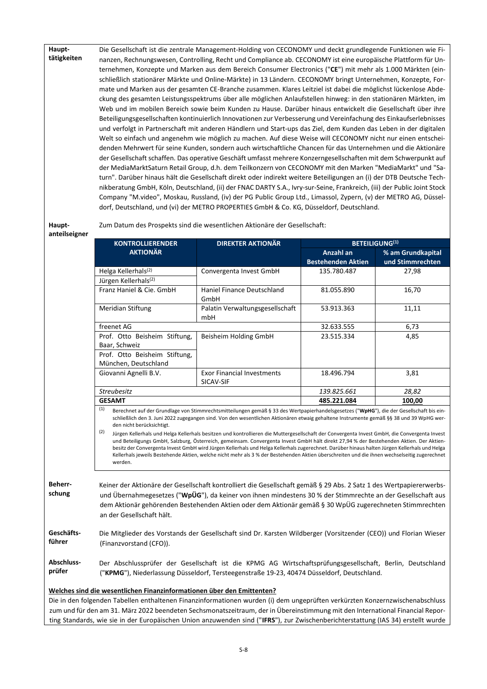**Haupttätigkeiten** Die Gesellschaft ist die zentrale Management-Holding von CECONOMY und deckt grundlegende Funktionen wie Finanzen, Rechnungswesen, Controlling, Recht und Compliance ab. CECONOMY ist eine europäische Plattform für Unternehmen, Konzepte und Marken aus dem Bereich Consumer Electronics ("**CE**") mit mehr als 1.000 Märkten (einschließlich stationärer Märkte und Online-Märkte) in 13 Ländern. CECONOMY bringt Unternehmen, Konzepte, Formate und Marken aus der gesamten CE-Branche zusammen. Klares Leitziel ist dabei die möglichst lückenlose Abdeckung des gesamten Leistungsspektrums über alle möglichen Anlaufstellen hinweg: in den stationären Märkten, im Web und im mobilen Bereich sowie beim Kunden zu Hause. Darüber hinaus entwickelt die Gesellschaft über ihre Beteiligungsgesellschaften kontinuierlich Innovationen zur Verbesserung und Vereinfachung des Einkaufserlebnisses und verfolgt in Partnerschaft mit anderen Händlern und Start-ups das Ziel, dem Kunden das Leben in der digitalen Welt so einfach und angenehm wie möglich zu machen. Auf diese Weise will CECONOMY nicht nur einen entscheidenden Mehrwert für seine Kunden, sondern auch wirtschaftliche Chancen für das Unternehmen und die Aktionäre der Gesellschaft schaffen. Das operative Geschäft umfasst mehrere Konzerngesellschaften mit dem Schwerpunkt auf der MediaMarktSaturn Retail Group, d.h. dem Teilkonzern von CECONOMY mit den Marken "MediaMarkt" und "Saturn". Darüber hinaus hält die Gesellschaft direkt oder indirekt weitere Beteiligungen an (i) der DTB Deutsche Technikberatung GmbH, Köln, Deutschland, (ii) der FNAC DARTY S.A., Ivry-sur-Seine, Frankreich, (iii) der Public Joint Stock Company "M.video", Moskau, Russland, (iv) der PG Public Group Ltd., Limassol, Zypern, (v) der METRO AG, Düsseldorf, Deutschland, und (vi) der METRO PROPERTIES GmbH & Co. KG, Düsseldorf, Deutschland.

# **Haupt-**

Zum Datum des Prospekts sind die wesentlichen Aktionäre der Gesellschaft:

**anteilseigner**

| <b>KONTROLLIERENDER</b>                                             | <b>DIREKTER AKTIONÄR</b>                       |                                        | <b>BETEILIGUNG(1)</b>                 |  |
|---------------------------------------------------------------------|------------------------------------------------|----------------------------------------|---------------------------------------|--|
| <b>AKTIONÄR</b>                                                     |                                                | Anzahl an<br><b>Bestehenden Aktien</b> | % am Grundkapital<br>und Stimmrechten |  |
| Helga Kellerhals <sup>(2)</sup><br>Jürgen Kellerhals <sup>(2)</sup> | Convergenta Invest GmbH                        | 135.780.487                            | 27,98                                 |  |
| Franz Haniel & Cie. GmbH                                            | Haniel Finance Deutschland<br>GmbH             | 81.055.890                             | 16,70                                 |  |
| Meridian Stiftung                                                   | Palatin Verwaltungsgesellschaft<br>mbH         | 53.913.363                             | 11,11                                 |  |
| freenet AG                                                          |                                                | 32.633.555                             | 6,73                                  |  |
| Prof. Otto Beisheim Stiftung,<br>Baar, Schweiz                      | Beisheim Holding GmbH                          | 23.515.334                             | 4,85                                  |  |
| Prof. Otto Beisheim Stiftung,<br>München, Deutschland               |                                                |                                        |                                       |  |
| Giovanni Agnelli B.V.                                               | <b>Exor Financial Investments</b><br>SICAV-SIF | 18.496.794                             | 3,81                                  |  |
| <b>Streubesitz</b>                                                  |                                                | 139.825.661                            | 28,82                                 |  |
| <b>GESAMT</b>                                                       |                                                | 485.221.084                            | 100,00                                |  |

schließlich den 3. Juni 2022 zugegangen sind. Von den wesentlichen Aktionären etwaig gehaltene Instrumente gemäß §§ 38 und 39 WpHG werden nicht berücksichtigt.

(2) Jürgen Kellerhals und Helga Kellerhals besitzen und kontrollieren die Muttergesellschaft der Convergenta Invest GmbH, die Convergenta Invest und Beteiligungs GmbH, Salzburg, Österreich, gemeinsam. Convergenta Invest GmbH hält direkt 27,94 % der Bestehenden Aktien. Der Aktienbesitz der Convergenta Invest GmbH wird Jürgen Kellerhals und Helga Kellerhals zugerechnet. Darüber hinaus halten Jürgen Kellerhals und Helga Kellerhals jeweils Bestehende Aktien, welche nicht mehr als 3 % der Bestehenden Aktien überschreiten und die ihnen wechselseitig zugerechnet werden.

**Beherrschung** Keiner der Aktionäre der Gesellschaft kontrolliert die Gesellschaft gemäß § 29 Abs. 2 Satz 1 des Wertpapiererwerbsund Übernahmegesetzes ("**WpÜG**"), da keiner von ihnen mindestens 30 % der Stimmrechte an der Gesellschaft aus dem Aktionär gehörenden Bestehenden Aktien oder dem Aktionär gemäß § 30 WpÜG zugerechneten Stimmrechten an der Gesellschaft hält.

**Geschäftsführer** Die Mitglieder des Vorstands der Gesellschaft sind Dr. Karsten Wildberger (Vorsitzender (CEO)) und Florian Wieser (Finanzvorstand (CFO)).

**Abschlussprüfer** Der Abschlussprüfer der Gesellschaft ist die KPMG AG Wirtschaftsprüfungsgesellschaft, Berlin, Deutschland ("**KPMG**"), Niederlassung Düsseldorf, Tersteegenstraße 19-23, 40474 Düsseldorf, Deutschland.

# **Welches sind die wesentlichen Finanzinformationen über den Emittenten?**

Die in den folgenden Tabellen enthaltenen Finanzinformationen wurden (i) dem ungeprüften verkürzten Konzernzwischenabschluss zum und für den am 31. März 2022 beendeten Sechsmonatszeitraum, der in Übereinstimmung mit den International Financial Reporting Standards, wie sie in der Europäischen Union anzuwenden sind ("**IFRS**"), zur Zwischenberichterstattung (IAS 34) erstellt wurde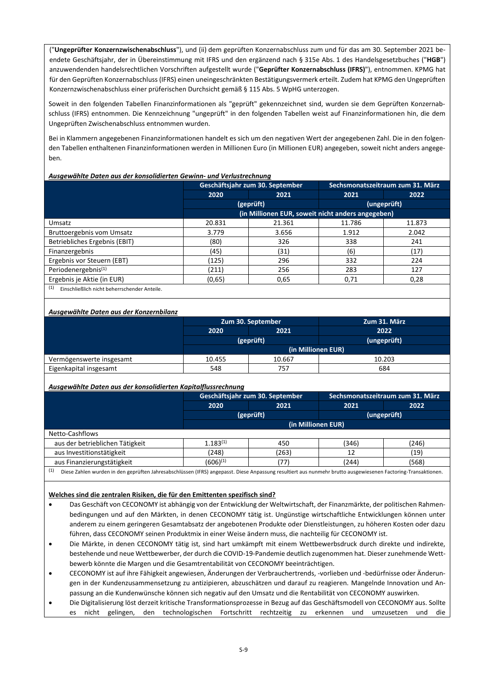("**Ungeprüfter Konzernzwischenabschluss**"), und (ii) dem geprüften Konzernabschluss zum und für das am 30. September 2021 beendete Geschäftsjahr, der in Übereinstimmung mit IFRS und den ergänzend nach § 315e Abs. 1 des Handelsgesetzbuches ("**HGB**") anzuwendenden handelsrechtlichen Vorschriften aufgestellt wurde ("**Geprüfter Konzernabschluss (IFRS)**"), entnommen. KPMG hat für den Geprüften Konzernabschluss (IFRS) einen uneingeschränkten Bestätigungsvermerk erteilt. Zudem hat KPMG den Ungeprüften Konzernzwischenabschluss einer prüferischen Durchsicht gemäß § 115 Abs. 5 WpHG unterzogen.

Soweit in den folgenden Tabellen Finanzinformationen als "geprüft" gekennzeichnet sind, wurden sie dem Geprüften Konzernabschluss (IFRS) entnommen. Die Kennzeichnung "ungeprüft" in den folgenden Tabellen weist auf Finanzinformationen hin, die dem Ungeprüften Zwischenabschluss entnommen wurden.

Bei in Klammern angegebenen Finanzinformationen handelt es sich um den negativen Wert der angegebenen Zahl. Die in den folgenden Tabellen enthaltenen Finanzinformationen werden in Millionen Euro (in Millionen EUR) angegeben, soweit nicht anders angegeben.

## *Ausgewählte Daten aus der konsolidierten Gewinn- und Verlustrechnung*

|                                                     | Geschäftsjahr zum 30. September |                                                   | Sechsmonatszeitraum zum 31. März |             |
|-----------------------------------------------------|---------------------------------|---------------------------------------------------|----------------------------------|-------------|
|                                                     | 2020                            | 2021                                              | 2021                             | 2022        |
|                                                     |                                 | (geprüft)                                         |                                  | (ungeprüft) |
|                                                     |                                 | (in Millionen EUR, soweit nicht anders angegeben) |                                  |             |
| Umsatz                                              | 20.831                          | 21.361                                            | 11.786                           | 11.873      |
| Bruttoergebnis vom Umsatz                           | 3.779                           | 3.656                                             | 1.912                            | 2.042       |
| Betriebliches Ergebnis (EBIT)                       | (80)                            | 326                                               | 338                              | 241         |
| Finanzergebnis                                      | (45)                            | (31)                                              | (6)                              | (17)        |
| Ergebnis vor Steuern (EBT)                          | (125)                           | 296                                               | 332                              | 224         |
| Periodenergebnis <sup>(1)</sup>                     | (211)                           | 256                                               | 283                              | 127         |
| Ergebnis je Aktie (in EUR)                          | (0,65)                          | 0,65                                              | 0,71                             | 0,28        |
| (1)<br>Einschließlich nicht beherrschender Anteile. |                                 |                                                   |                                  |             |

#### *Ausgewählte Daten aus der Konzernbilanz*

|                          | Zum 30. September  |        | Zum 31. März |  |
|--------------------------|--------------------|--------|--------------|--|
|                          | 2021<br>2020       |        | 2022         |  |
|                          | (geprüft)          |        | (ungeprüft)  |  |
|                          | (in Millionen EUR) |        |              |  |
| Vermögenswerte insgesamt | 10.455             | 10.667 | 10.203       |  |
| Eigenkapital insgesamt   | 548                | 757    | 684          |  |

#### *Ausgewählte Daten aus der konsolidierten Kapitalflussrechnung*

|                                                                                                                                                                      | Geschäftsjahr zum 30. September |           | Sechsmonatszeitraum zum 31. März |             |
|----------------------------------------------------------------------------------------------------------------------------------------------------------------------|---------------------------------|-----------|----------------------------------|-------------|
|                                                                                                                                                                      | 2020                            | 2021      | 2021                             | 2022        |
|                                                                                                                                                                      |                                 | (geprüft) |                                  | (ungeprüft) |
|                                                                                                                                                                      | (in Millionen EUR)              |           |                                  |             |
| Netto-Cashflows                                                                                                                                                      |                                 |           |                                  |             |
| aus der betrieblichen Tätigkeit                                                                                                                                      | $1.183^{(1)}$                   | 450       | (346)                            | (246)       |
| aus Investitionstätigkeit                                                                                                                                            | (248)                           | (263)     | 12                               | (19)        |
| aus Finanzierungstätigkeit                                                                                                                                           | $(606)^{(1)}$                   | (77)      | (244)                            | (568)       |
| (1)<br>Diese Zahlen wurden in den geprüften Jahresabschlüssen (IFRS) angepasst. Diese Anpassung resultiert aus nunmehr brutto ausgewiesenen Factoring-Transaktionen. |                                 |           |                                  |             |

# **Welches sind die zentralen Risiken, die für den Emittenten spezifisch sind?**

- Das Geschäft von CECONOMY ist abhängig von der Entwicklung der Weltwirtschaft, der Finanzmärkte, der politischen Rahmenbedingungen und auf den Märkten, in denen CECONOMY tätig ist. Ungünstige wirtschaftliche Entwicklungen können unter anderem zu einem geringeren Gesamtabsatz der angebotenen Produkte oder Dienstleistungen, zu höheren Kosten oder dazu führen, dass CECONOMY seinen Produktmix in einer Weise ändern muss, die nachteilig für CECONOMY ist.
- Die Märkte, in denen CECONOMY tätig ist, sind hart umkämpft mit einem Wettbewerbsdruck durch direkte und indirekte, bestehende und neue Wettbewerber, der durch die COVID-19-Pandemie deutlich zugenommen hat. Dieser zunehmende Wettbewerb könnte die Margen und die Gesamtrentabilität von CECONOMY beeinträchtigen.
- CECONOMY ist auf ihre Fähigkeit angewiesen, Änderungen der Verbrauchertrends, -vorlieben und -bedürfnisse oder Änderungen in der Kundenzusammensetzung zu antizipieren, abzuschätzen und darauf zu reagieren. Mangelnde Innovation und Anpassung an die Kundenwünsche können sich negativ auf den Umsatz und die Rentabilität von CECONOMY auswirken.
- Die Digitalisierung löst derzeit kritische Transformationsprozesse in Bezug auf das Geschäftsmodell von CECONOMY aus. Sollte es nicht gelingen, den technologischen Fortschritt rechtzeitig zu erkennen und umzusetzen und die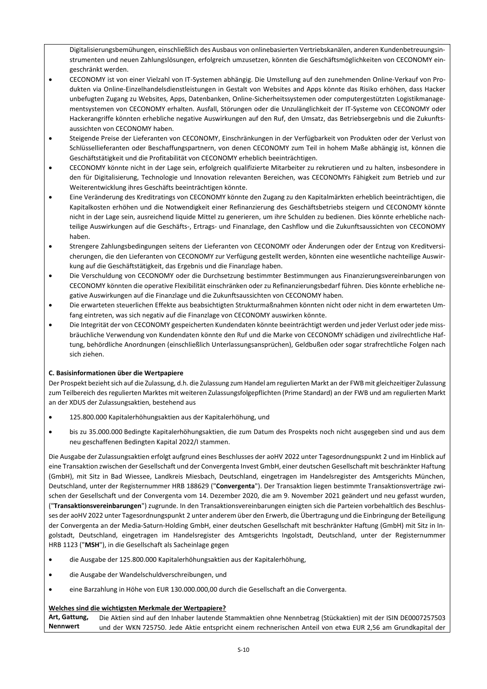Digitalisierungsbemühungen, einschließlich des Ausbaus von onlinebasierten Vertriebskanälen, anderen Kundenbetreuungsinstrumenten und neuen Zahlungslösungen, erfolgreich umzusetzen, könnten die Geschäftsmöglichkeiten von CECONOMY eingeschränkt werden.

- CECONOMY ist von einer Vielzahl von IT-Systemen abhängig. Die Umstellung auf den zunehmenden Online-Verkauf von Produkten via Online-Einzelhandelsdienstleistungen in Gestalt von Websites and Apps könnte das Risiko erhöhen, dass Hacker unbefugten Zugang zu Websites, Apps, Datenbanken, Online-Sicherheitssystemen oder computergestützten Logistikmanagementsystemen von CECONOMY erhalten. Ausfall, Störungen oder die Unzulänglichkeit der IT-Systeme von CECONOMY oder Hackerangriffe könnten erhebliche negative Auswirkungen auf den Ruf, den Umsatz, das Betriebsergebnis und die Zukunftsaussichten von CECONOMY haben.
- Steigende Preise der Lieferanten von CECONOMY, Einschränkungen in der Verfügbarkeit von Produkten oder der Verlust von Schlüssellieferanten oder Beschaffungspartnern, von denen CECONOMY zum Teil in hohem Maße abhängig ist, können die Geschäftstätigkeit und die Profitabilität von CECONOMY erheblich beeinträchtigen.
- CECONOMY könnte nicht in der Lage sein, erfolgreich qualifizierte Mitarbeiter zu rekrutieren und zu halten, insbesondere in den für Digitalisierung, Technologie und Innovation relevanten Bereichen, was CECONOMYs Fähigkeit zum Betrieb und zur Weiterentwicklung ihres Geschäfts beeinträchtigen könnte.
- Eine Veränderung des Kreditratings von CECONOMY könnte den Zugang zu den Kapitalmärkten erheblich beeinträchtigen, die Kapitalkosten erhöhen und die Notwendigkeit einer Refinanzierung des Geschäftsbetriebs steigern und CECONOMY könnte nicht in der Lage sein, ausreichend liquide Mittel zu generieren, um ihre Schulden zu bedienen. Dies könnte erhebliche nachteilige Auswirkungen auf die Geschäfts-, Ertrags- und Finanzlage, den Cashflow und die Zukunftsaussichten von CECONOMY haben.
- Strengere Zahlungsbedingungen seitens der Lieferanten von CECONOMY oder Änderungen oder der Entzug von Kreditversicherungen, die den Lieferanten von CECONOMY zur Verfügung gestellt werden, könnten eine wesentliche nachteilige Auswirkung auf die Geschäftstätigkeit, das Ergebnis und die Finanzlage haben.
- Die Verschuldung von CECONOMY oder die Durchsetzung bestimmter Bestimmungen aus Finanzierungsvereinbarungen von CECONOMY könnten die operative Flexibilität einschränken oder zu Refinanzierungsbedarf führen. Dies könnte erhebliche negative Auswirkungen auf die Finanzlage und die Zukunftsaussichten von CECONOMY haben.
- Die erwarteten steuerlichen Effekte aus beabsichtigten Strukturmaßnahmen könnten nicht oder nicht in dem erwarteten Umfang eintreten, was sich negativ auf die Finanzlage von CECONOMY auswirken könnte.
- Die Integrität der von CECONOMY gespeicherten Kundendaten könnte beeinträchtigt werden und jeder Verlust oder jede missbräuchliche Verwendung von Kundendaten könnte den Ruf und die Marke von CECONOMY schädigen und zivilrechtliche Haftung, behördliche Anordnungen (einschließlich Unterlassungsansprüchen), Geldbußen oder sogar strafrechtliche Folgen nach sich ziehen.

# **C. Basisinformationen über die Wertpapiere**

Der Prospekt bezieht sich auf die Zulassung, d.h. die Zulassung zum Handel am regulierten Markt an der FWB mit gleichzeitiger Zulassung zum Teilbereich des regulierten Marktes mit weiteren Zulassungsfolgepflichten (Prime Standard) an der FWB und am regulierten Markt an der XDUS der Zulassungsaktien, bestehend aus

- 125.800.000 Kapitalerhöhungsaktien aus der Kapitalerhöhung, und
- bis zu 35.000.000 Bedingte Kapitalerhöhungsaktien, die zum Datum des Prospekts noch nicht ausgegeben sind und aus dem neu geschaffenen Bedingten Kapital 2022/I stammen.

Die Ausgabe der Zulassungsaktien erfolgt aufgrund eines Beschlusses der aoHV 2022 unter Tagesordnungspunkt 2 und im Hinblick auf eine Transaktion zwischen der Gesellschaft und der Convergenta Invest GmbH, einer deutschen Gesellschaft mit beschränkter Haftung (GmbH), mit Sitz in Bad Wiessee, Landkreis Miesbach, Deutschland, eingetragen im Handelsregister des Amtsgerichts München, Deutschland, unter der Registernummer HRB 188629 ("**Convergenta**"). Der Transaktion liegen bestimmte Transaktionsverträge zwischen der Gesellschaft und der Convergenta vom 14. Dezember 2020, die am 9. November 2021 geändert und neu gefasst wurden, ("**Transaktionsvereinbarungen**") zugrunde. In den Transaktionsvereinbarungen einigten sich die Parteien vorbehaltlich des Beschlusses der aoHV 2022 unter Tagesordnungspunkt 2 unter anderem über den Erwerb, die Übertragung und die Einbringung der Beteiligung der Convergenta an der Media-Saturn-Holding GmbH, einer deutschen Gesellschaft mit beschränkter Haftung (GmbH) mit Sitz in Ingolstadt, Deutschland, eingetragen im Handelsregister des Amtsgerichts Ingolstadt, Deutschland, unter der Registernummer HRB 1123 ("**MSH**"), in die Gesellschaft als Sacheinlage gegen

- die Ausgabe der 125.800.000 Kapitalerhöhungsaktien aus der Kapitalerhöhung,
- die Ausgabe der Wandelschuldverschreibungen, und
- eine Barzahlung in Höhe von EUR 130.000.000,00 durch die Gesellschaft an die Convergenta.

# **Welches sind die wichtigsten Merkmale der Wertpapiere?**

**Art, Gattung, Nennwert** Die Aktien sind auf den Inhaber lautende Stammaktien ohne Nennbetrag (Stückaktien) mit der ISIN DE0007257503 und der WKN 725750. Jede Aktie entspricht einem rechnerischen Anteil von etwa EUR 2,56 am Grundkapital der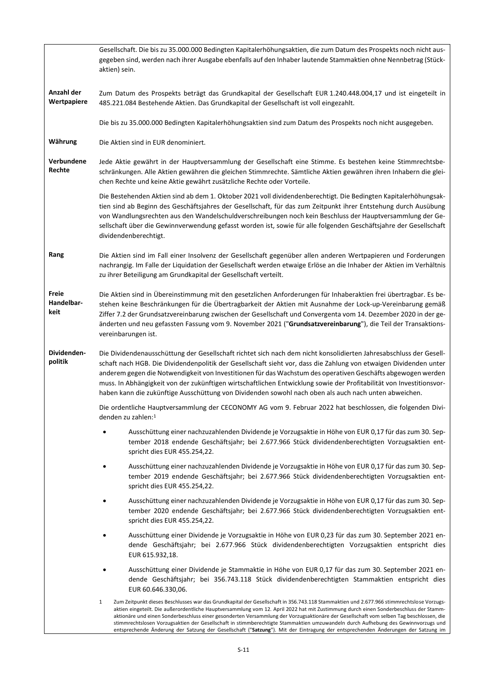|                             | Gesellschaft. Die bis zu 35.000.000 Bedingten Kapitalerhöhungsaktien, die zum Datum des Prospekts noch nicht aus-<br>gegeben sind, werden nach ihrer Ausgabe ebenfalls auf den Inhaber lautende Stammaktien ohne Nennbetrag (Stück-<br>aktien) sein.                                                                                                                                                                                                                                                                                                                                                                                                                                                       |
|-----------------------------|------------------------------------------------------------------------------------------------------------------------------------------------------------------------------------------------------------------------------------------------------------------------------------------------------------------------------------------------------------------------------------------------------------------------------------------------------------------------------------------------------------------------------------------------------------------------------------------------------------------------------------------------------------------------------------------------------------|
| Anzahl der<br>Wertpapiere   | Zum Datum des Prospekts beträgt das Grundkapital der Gesellschaft EUR 1.240.448.004,17 und ist eingeteilt in<br>485.221.084 Bestehende Aktien. Das Grundkapital der Gesellschaft ist voll eingezahlt.                                                                                                                                                                                                                                                                                                                                                                                                                                                                                                      |
|                             | Die bis zu 35.000.000 Bedingten Kapitalerhöhungsaktien sind zum Datum des Prospekts noch nicht ausgegeben.                                                                                                                                                                                                                                                                                                                                                                                                                                                                                                                                                                                                 |
| Währung                     | Die Aktien sind in EUR denominiert.                                                                                                                                                                                                                                                                                                                                                                                                                                                                                                                                                                                                                                                                        |
| Verbundene<br>Rechte        | Jede Aktie gewährt in der Hauptversammlung der Gesellschaft eine Stimme. Es bestehen keine Stimmrechtsbe-<br>schränkungen. Alle Aktien gewähren die gleichen Stimmrechte. Sämtliche Aktien gewähren ihren Inhabern die glei-<br>chen Rechte und keine Aktie gewährt zusätzliche Rechte oder Vorteile.                                                                                                                                                                                                                                                                                                                                                                                                      |
|                             | Die Bestehenden Aktien sind ab dem 1. Oktober 2021 voll dividendenberechtigt. Die Bedingten Kapitalerhöhungsak-<br>tien sind ab Beginn des Geschäftsjahres der Gesellschaft, für das zum Zeitpunkt ihrer Entstehung durch Ausübung<br>von Wandlungsrechten aus den Wandelschuldverschreibungen noch kein Beschluss der Hauptversammlung der Ge-<br>sellschaft über die Gewinnverwendung gefasst worden ist, sowie für alle folgenden Geschäftsjahre der Gesellschaft<br>dividendenberechtigt.                                                                                                                                                                                                              |
| Rang                        | Die Aktien sind im Fall einer Insolvenz der Gesellschaft gegenüber allen anderen Wertpapieren und Forderungen<br>nachrangig. Im Falle der Liquidation der Gesellschaft werden etwaige Erlöse an die Inhaber der Aktien im Verhältnis<br>zu ihrer Beteiligung am Grundkapital der Gesellschaft verteilt.                                                                                                                                                                                                                                                                                                                                                                                                    |
| Freie<br>Handelbar-<br>keit | Die Aktien sind in Übereinstimmung mit den gesetzlichen Anforderungen für Inhaberaktien frei übertragbar. Es be-<br>stehen keine Beschränkungen für die Übertragbarkeit der Aktien mit Ausnahme der Lock-up-Vereinbarung gemäß<br>Ziffer 7.2 der Grundsatzvereinbarung zwischen der Gesellschaft und Convergenta vom 14. Dezember 2020 in der ge-<br>änderten und neu gefassten Fassung vom 9. November 2021 ("Grundsatzvereinbarung"), die Teil der Transaktions-<br>vereinbarungen ist.                                                                                                                                                                                                                  |
| Dividenden-<br>politik      | Die Dividendenausschüttung der Gesellschaft richtet sich nach dem nicht konsolidierten Jahresabschluss der Gesell-<br>schaft nach HGB. Die Dividendenpolitik der Gesellschaft sieht vor, dass die Zahlung von etwaigen Dividenden unter<br>anderem gegen die Notwendigkeit von Investitionen für das Wachstum des operativen Geschäfts abgewogen werden<br>muss. In Abhängigkeit von der zukünftigen wirtschaftlichen Entwicklung sowie der Profitabilität von Investitionsvor-<br>haben kann die zukünftige Ausschüttung von Dividenden sowohl nach oben als auch nach unten abweichen.                                                                                                                   |
|                             | Die ordentliche Hauptversammlung der CECONOMY AG vom 9. Februar 2022 hat beschlossen, die folgenden Divi-<br>denden zu zahlen:1                                                                                                                                                                                                                                                                                                                                                                                                                                                                                                                                                                            |
|                             | Ausschüttung einer nachzuzahlenden Dividende je Vorzugsaktie in Höhe von EUR 0,17 für das zum 30. Sep-<br>tember 2018 endende Geschäftsjahr; bei 2.677.966 Stück dividendenberechtigten Vorzugsaktien ent-<br>spricht dies EUR 455.254,22.                                                                                                                                                                                                                                                                                                                                                                                                                                                                 |
|                             | Ausschüttung einer nachzuzahlenden Dividende je Vorzugsaktie in Höhe von EUR 0,17 für das zum 30. Sep-<br>tember 2019 endende Geschäftsjahr; bei 2.677.966 Stück dividendenberechtigten Vorzugsaktien ent-<br>spricht dies EUR 455.254,22.                                                                                                                                                                                                                                                                                                                                                                                                                                                                 |
|                             | Ausschüttung einer nachzuzahlenden Dividende je Vorzugsaktie in Höhe von EUR 0,17 für das zum 30. Sep-<br>tember 2020 endende Geschäftsjahr; bei 2.677.966 Stück dividendenberechtigten Vorzugsaktien ent-<br>spricht dies EUR 455.254,22.                                                                                                                                                                                                                                                                                                                                                                                                                                                                 |
|                             | Ausschüttung einer Dividende je Vorzugsaktie in Höhe von EUR 0,23 für das zum 30. September 2021 en-<br>dende Geschäftsjahr; bei 2.677.966 Stück dividendenberechtigten Vorzugsaktien entspricht dies<br>EUR 615.932,18.                                                                                                                                                                                                                                                                                                                                                                                                                                                                                   |
|                             | Ausschüttung einer Dividende je Stammaktie in Höhe von EUR 0,17 für das zum 30. September 2021 en-<br>dende Geschäftsjahr; bei 356.743.118 Stück dividendenberechtigten Stammaktien entspricht dies<br>EUR 60.646.330,06.                                                                                                                                                                                                                                                                                                                                                                                                                                                                                  |
|                             | Zum Zeitpunkt dieses Beschlusses war das Grundkapital der Gesellschaft in 356.743.118 Stammaktien und 2.677.966 stimmrechtslose Vorzugs-<br>1<br>aktien eingeteilt. Die außerordentliche Hauptversammlung vom 12. April 2022 hat mit Zustimmung durch einen Sonderbeschluss der Stamm-<br>aktionäre und einen Sonderbeschluss einer gesonderten Versammlung der Vorzugsaktionäre der Gesellschaft vom selben Tag beschlossen, die<br>stimmrechtslosen Vorzugsaktien der Gesellschaft in stimmberechtigte Stammaktien umzuwandeln durch Aufhebung des Gewinnvorzugs und<br>entsprechende Änderung der Satzung der Gesellschaft ("Satzung"). Mit der Eintragung der entsprechenden Änderungen der Satzung im |